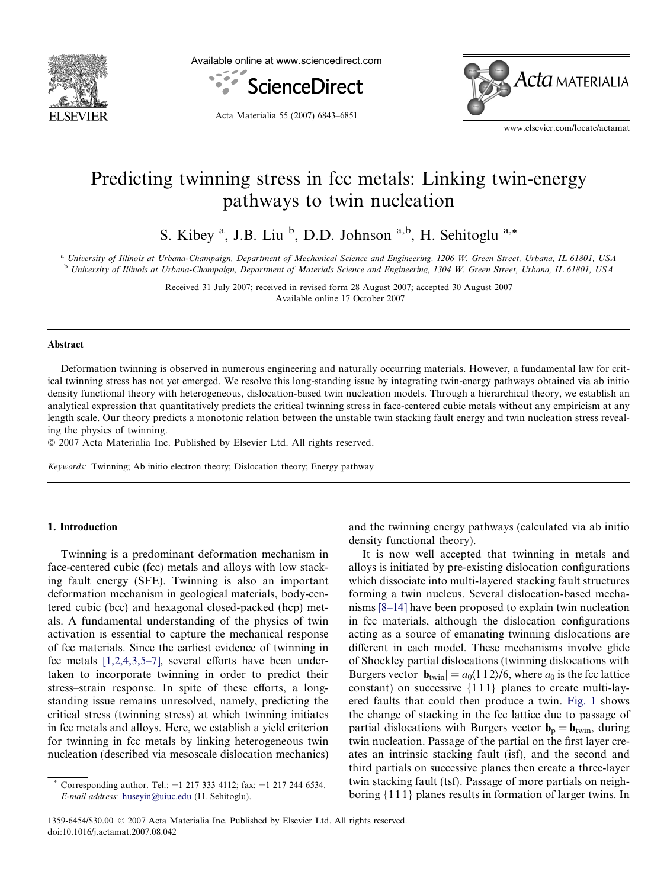

Available online at www.sciencedirect.com



Acta Materialia 55 (2007) 6843–6851



www.elsevier.com/locate/actamat

# Predicting twinning stress in fcc metals: Linking twin-energy pathways to twin nucleation

S. Kibey<sup>a</sup>, J.B. Liu<sup>b</sup>, D.D. Johnson<sup>a,b</sup>, H. Sehitoglu<sup>a,\*</sup>

<sup>a</sup> University of Illinois at Urbana-Champaign, Department of Mechanical Science and Engineering, 1206 W. Green Street, Urbana, IL 61801, USA <sup>b</sup> University of Illinois at Urbana-Champaign, Department of Materials Science and Engineering, 1304 W. Green Street, Urbana, IL 61801, USA

> Received 31 July 2007; received in revised form 28 August 2007; accepted 30 August 2007 Available online 17 October 2007

## Abstract

Deformation twinning is observed in numerous engineering and naturally occurring materials. However, a fundamental law for critical twinning stress has not yet emerged. We resolve this long-standing issue by integrating twin-energy pathways obtained via ab initio density functional theory with heterogeneous, dislocation-based twin nucleation models. Through a hierarchical theory, we establish an analytical expression that quantitatively predicts the critical twinning stress in face-centered cubic metals without any empiricism at any length scale. Our theory predicts a monotonic relation between the unstable twin stacking fault energy and twin nucleation stress revealing the physics of twinning.

- 2007 Acta Materialia Inc. Published by Elsevier Ltd. All rights reserved.

Keywords: Twinning; Ab initio electron theory; Dislocation theory; Energy pathway

## 1. Introduction

Twinning is a predominant deformation mechanism in face-centered cubic (fcc) metals and alloys with low stacking fault energy (SFE). Twinning is also an important deformation mechanism in geological materials, body-centered cubic (bcc) and hexagonal closed-packed (hcp) metals. A fundamental understanding of the physics of twin activation is essential to capture the mechanical response of fcc materials. Since the earliest evidence of twinning in fcc metals [\[1,2,4,3,5–7\]](#page-7-0), several efforts have been undertaken to incorporate twinning in order to predict their stress–strain response. In spite of these efforts, a longstanding issue remains unresolved, namely, predicting the critical stress (twinning stress) at which twinning initiates in fcc metals and alloys. Here, we establish a yield criterion for twinning in fcc metals by linking heterogeneous twin nucleation (described via mesoscale dislocation mechanics) and the twinning energy pathways (calculated via ab initio density functional theory).

It is now well accepted that twinning in metals and alloys is initiated by pre-existing dislocation configurations which dissociate into multi-layered stacking fault structures forming a twin nucleus. Several dislocation-based mechanisms [\[8–14\]](#page-7-0) have been proposed to explain twin nucleation in fcc materials, although the dislocation configurations acting as a source of emanating twinning dislocations are different in each model. These mechanisms involve glide of Shockley partial dislocations (twinning dislocations with Burgers vector  $|\mathbf{b}_{\text{twin}}| = a_0 \langle 1 \, 1 \, 2 \rangle / 6$ , where  $a_0$  is the fcc lattice constant) on successive {1 1 1} planes to create multi-layered faults that could then produce a twin. [Fig. 1](#page-1-0) shows the change of stacking in the fcc lattice due to passage of partial dislocations with Burgers vector  $\mathbf{b}_p = \mathbf{b}_{\text{twin}}$ , during twin nucleation. Passage of the partial on the first layer creates an intrinsic stacking fault (isf), and the second and third partials on successive planes then create a three-layer twin stacking fault (tsf). Passage of more partials on neighboring {1 1 1} planes results in formation of larger twins. In

Corresponding author. Tel.:  $+1$  217 333 4112; fax:  $+1$  217 244 6534. E-mail address: [huseyin@uiuc.edu](mailto:huseyin@uiuc.edu) (H. Sehitoglu).

<sup>1359-6454/\$30.00 © 2007</sup> Acta Materialia Inc. Published by Elsevier Ltd. All rights reserved. doi:10.1016/j.actamat.2007.08.042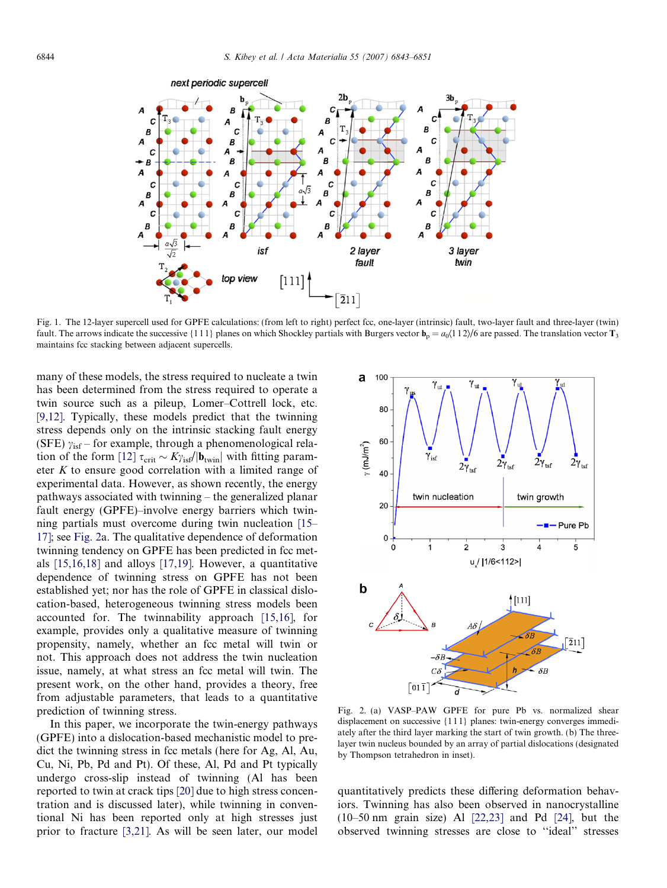<span id="page-1-0"></span>

Fig. 1. The 12-layer supercell used for GPFE calculations: (from left to right) perfect fcc, one-layer (intrinsic) fault, two-layer fault and three-layer (twin) fault. The arrows indicate the successive {1 1 1} planes on which Shockley partials with Burgers vector  $\mathbf{b}_p = a_0 \langle 1 \, 1 \, 2 \rangle / 6$  are passed. The translation vector  $\mathbf{T}_3$ maintains fcc stacking between adjacent supercells.

many of these models, the stress required to nucleate a twin has been determined from the stress required to operate a twin source such as a pileup, Lomer–Cottrell lock, etc. [\[9,12\].](#page-7-0) Typically, these models predict that the twinning stress depends only on the intrinsic stacking fault energy (SFE)  $\gamma_{\rm{isf}}$  – for example, through a phenomenological rela-tion of the form [\[12\]](#page-7-0)  $\tau_{\rm crit} \sim K \gamma_{\rm isf} / |\mathbf{b}_{\rm twin}|$  with fitting parameter K to ensure good correlation with a limited range of experimental data. However, as shown recently, the energy pathways associated with twinning – the generalized planar fault energy (GPFE)–involve energy barriers which twinning partials must overcome during twin nucleation [\[15–](#page-7-0) [17\]](#page-7-0); see Fig. 2a. The qualitative dependence of deformation twinning tendency on GPFE has been predicted in fcc metals [\[15,16,18\]](#page-7-0) and alloys [\[17,19\].](#page-7-0) However, a quantitative dependence of twinning stress on GPFE has not been established yet; nor has the role of GPFE in classical dislocation-based, heterogeneous twinning stress models been accounted for. The twinnability approach [\[15,16\],](#page-7-0) for example, provides only a qualitative measure of twinning propensity, namely, whether an fcc metal will twin or not. This approach does not address the twin nucleation issue, namely, at what stress an fcc metal will twin. The present work, on the other hand, provides a theory, free from adjustable parameters, that leads to a quantitative prediction of twinning stress.

In this paper, we incorporate the twin-energy pathways (GPFE) into a dislocation-based mechanistic model to predict the twinning stress in fcc metals (here for Ag, Al, Au, Cu, Ni, Pb, Pd and Pt). Of these, Al, Pd and Pt typically undergo cross-slip instead of twinning (Al has been reported to twin at crack tips [\[20\]](#page-7-0) due to high stress concentration and is discussed later), while twinning in conventional Ni has been reported only at high stresses just prior to fracture [\[3,21\].](#page-7-0) As will be seen later, our model



Fig. 2. (a) VASP–PAW GPFE for pure Pb vs. normalized shear displacement on successive {1 1 1} planes: twin-energy converges immediately after the third layer marking the start of twin growth. (b) The threelayer twin nucleus bounded by an array of partial dislocations (designated by Thompson tetrahedron in inset).

quantitatively predicts these differing deformation behaviors. Twinning has also been observed in nanocrystalline (10–50 nm grain size) Al [\[22,23\]](#page-7-0) and Pd [\[24\]](#page-7-0), but the observed twinning stresses are close to ''ideal'' stresses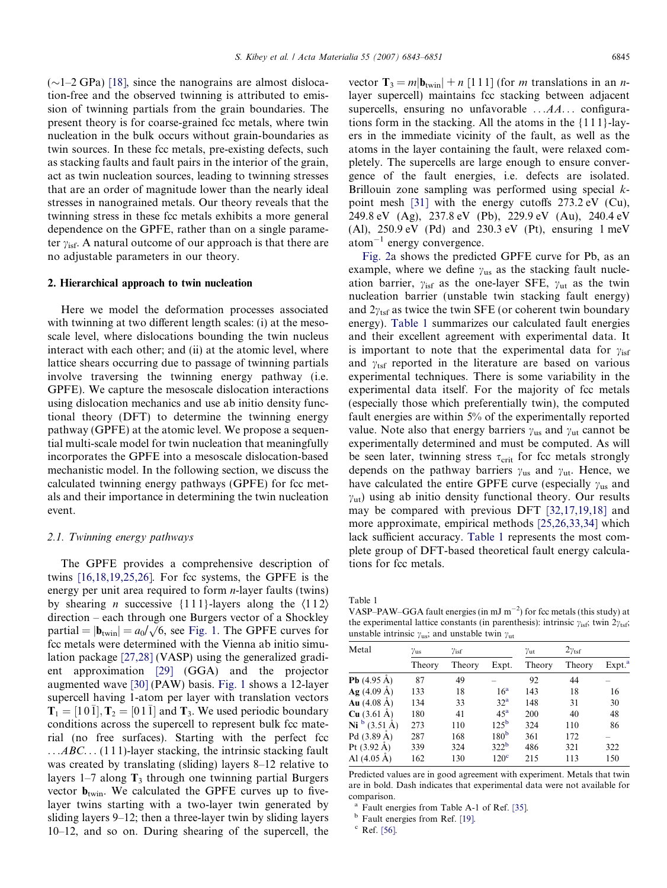<span id="page-2-0"></span> $(\sim]1-2$  GPa) [\[18\],](#page-7-0) since the nanograins are almost dislocation-free and the observed twinning is attributed to emission of twinning partials from the grain boundaries. The present theory is for coarse-grained fcc metals, where twin nucleation in the bulk occurs without grain-boundaries as twin sources. In these fcc metals, pre-existing defects, such as stacking faults and fault pairs in the interior of the grain, act as twin nucleation sources, leading to twinning stresses that are an order of magnitude lower than the nearly ideal stresses in nanograined metals. Our theory reveals that the twinning stress in these fcc metals exhibits a more general dependence on the GPFE, rather than on a single parameter  $\gamma_{\text{isf}}$ . A natural outcome of our approach is that there are no adjustable parameters in our theory.

#### 2. Hierarchical approach to twin nucleation

Here we model the deformation processes associated with twinning at two different length scales: (i) at the mesoscale level, where dislocations bounding the twin nucleus interact with each other; and (ii) at the atomic level, where lattice shears occurring due to passage of twinning partials involve traversing the twinning energy pathway (i.e. GPFE). We capture the mesoscale dislocation interactions using dislocation mechanics and use ab initio density functional theory (DFT) to determine the twinning energy pathway (GPFE) at the atomic level. We propose a sequential multi-scale model for twin nucleation that meaningfully incorporates the GPFE into a mesoscale dislocation-based mechanistic model. In the following section, we discuss the calculated twinning energy pathways (GPFE) for fcc metals and their importance in determining the twin nucleation event.

#### 2.1. Twinning energy pathways

The GPFE provides a comprehensive description of twins [\[16,18,19,25,26\].](#page-7-0) For fcc systems, the GPFE is the energy per unit area required to form  $n$ -layer faults (twins) by shearing *n* successive  $\{111\}$ -layers along the  $\langle 112 \rangle$ direction – each through one Burgers vector of a Shockley partial  $= |\mathbf{b}_{\text{twin}}| = a_0/\sqrt{6}$ , see [Fig. 1.](#page-1-0) The GPFE curves for fcc metals were determined with the Vienna ab initio simulation package [\[27,28\]](#page-7-0) (VASP) using the generalized gradient approximation [\[29\]](#page-8-0) (GGA) and the projector augmented wave [\[30\]](#page-8-0) (PAW) basis. [Fig. 1](#page-1-0) shows a 12-layer supercell having 1-atom per layer with translation vectors  $\overline{T}_1 = [1 \ 0 \ \overline{1}], \overline{T}_2 = [0 \ 1 \ \overline{1}]$  and  $\overline{T}_3$ . We used periodic boundary conditions across the supercell to represent bulk fcc material (no free surfaces). Starting with the perfect fcc  $...ABC...$  (1 1 1)-layer stacking, the intrinsic stacking fault was created by translating (sliding) layers 8–12 relative to layers 1–7 along  $T_3$  through one twinning partial Burgers vector  $\mathbf{b}_{\text{twin}}$ . We calculated the GPFE curves up to fivelayer twins starting with a two-layer twin generated by sliding layers 9–12; then a three-layer twin by sliding layers 10–12, and so on. During shearing of the supercell, the vector  $T_3 = m|\mathbf{b}_{\text{twin}}| + n$  [111] (for *m* translations in an *n*layer supercell) maintains fcc stacking between adjacent supercells, ensuring no unfavorable  $\ldots AA \ldots$  configurations form in the stacking. All the atoms in the {1 1 1}-layers in the immediate vicinity of the fault, as well as the atoms in the layer containing the fault, were relaxed completely. The supercells are large enough to ensure convergence of the fault energies, i.e. defects are isolated. Brillouin zone sampling was performed using special kpoint mesh [\[31\]](#page-8-0) with the energy cutoffs 273.2 eV (Cu), 249.8 eV (Ag), 237.8 eV (Pb), 229.9 eV (Au), 240.4 eV (Al), 250.9 eV (Pd) and 230.3 eV (Pt), ensuring 1 meV  $atom^{-1}$  energy convergence.

[Fig. 2](#page-1-0)a shows the predicted GPFE curve for Pb, as an example, where we define  $\gamma_{\text{us}}$  as the stacking fault nucleation barrier,  $\gamma_{\text{isf}}$  as the one-layer SFE,  $\gamma_{\text{ut}}$  as the twin nucleation barrier (unstable twin stacking fault energy) and  $2y_{\text{tef}}$  as twice the twin SFE (or coherent twin boundary energy). Table 1 summarizes our calculated fault energies and their excellent agreement with experimental data. It is important to note that the experimental data for  $\gamma_{\text{isf}}$ and  $\gamma_{\text{tsf}}$  reported in the literature are based on various experimental techniques. There is some variability in the experimental data itself. For the majority of fcc metals (especially those which preferentially twin), the computed fault energies are within 5% of the experimentally reported value. Note also that energy barriers  $\gamma_{us}$  and  $\gamma_{ut}$  cannot be experimentally determined and must be computed. As will be seen later, twinning stress  $\tau_{\text{crit}}$  for fcc metals strongly depends on the pathway barriers  $\gamma_{us}$  and  $\gamma_{ut}$ . Hence, we have calculated the entire GPFE curve (especially  $\gamma_{\text{us}}$  and  $y<sub>ut</sub>$ ) using ab initio density functional theory. Our results may be compared with previous DFT [\[32,17,19,18\]](#page-8-0) and more approximate, empirical methods [\[25,26,33,34\]](#page-7-0) which lack sufficient accuracy. Table 1 represents the most complete group of DFT-based theoretical fault energy calculations for fcc metals.

Table 1

VASP–PAW–GGA fault energies (in mJ  $\text{m}^{-2}$ ) for fcc metals (this study) at the experimental lattice constants (in parenthesis): intrinsic  $\gamma_{\rm isf}$ ; twin  $2\gamma_{\rm tsf}$ ; unstable intrinsic  $\gamma_{\text{us}}$ ; and unstable twin  $\gamma_{\text{ut}}$ 

| Metal                        | $\gamma_{\rm us}$<br>$\gamma_{\rm{isf}}$ |        |                  | $2\gamma_{\rm{tsf}}$<br>$\gamma_{\rm ut}$ |        |                    |
|------------------------------|------------------------------------------|--------|------------------|-------------------------------------------|--------|--------------------|
|                              | Theory                                   | Theory | Expt.            | Theory                                    | Theory | Expt. <sup>a</sup> |
| <b>Pb</b> $(4.95 \text{ A})$ | 87                                       | 49     |                  | 92                                        | 44     |                    |
| $Ag(4.09 \text{ Å})$         | 133                                      | 18     | 16 <sup>a</sup>  | 143                                       | 18     | 16                 |
| Au $(4.08 \text{ Å})$        | 134                                      | 33     | 32 <sup>a</sup>  | 148                                       | 31     | 30                 |
| <b>Cu</b> $(3.61 \text{ Å})$ | 180                                      | 41     | 45 <sup>a</sup>  | 200                                       | 40     | 48                 |
| Ni <sup>b</sup> (3.51 Å)     | 273                                      | 110    | 125 <sup>b</sup> | 324                                       | 110    | 86                 |
| Pd $(3.89 \text{ Å})$        | 287                                      | 168    | 180 <sup>b</sup> | 361                                       | 172    |                    |
| Pt $(3.92 \text{ A})$        | 339                                      | 324    | 322 <sup>b</sup> | 486                                       | 321    | 322                |
| Al $(4.05 A)$                | 162                                      | 130    | 120 <sup>c</sup> | 215                                       | 113    | 150                |

Predicted values are in good agreement with experiment. Metals that twin are in bold. Dash indicates that experimental data were not available for comparison.

<sup>a</sup> Fault energies from Table A-1 of Ref. [\[35\].](#page-8-0)

<sup>b</sup> Fault energies from Ref. [\[19\].](#page-7-0)

<sup>c</sup> Ref. [\[56\].](#page-8-0)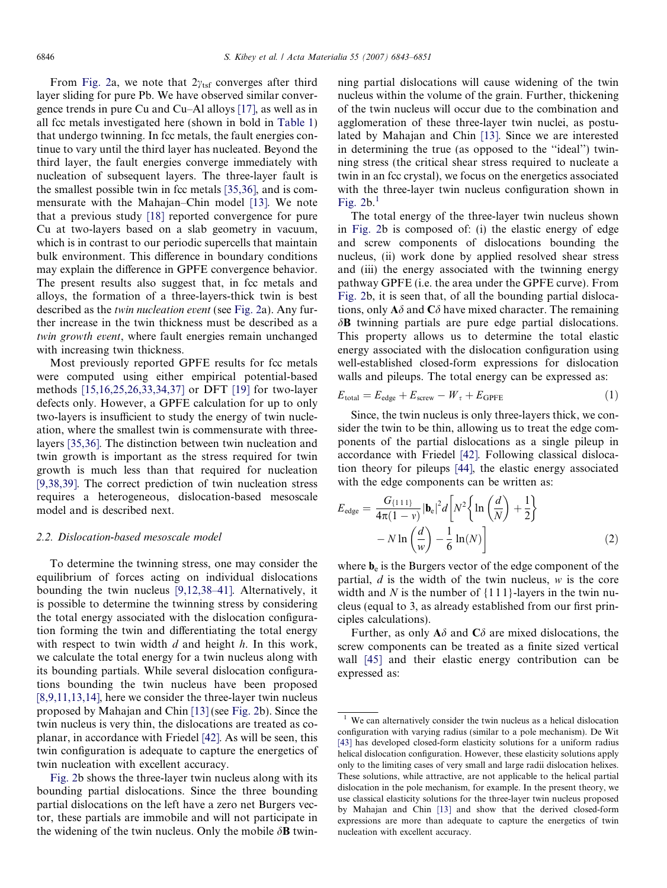From [Fig. 2](#page-1-0)a, we note that  $2\gamma_{\text{tsf}}$  converges after third layer sliding for pure Pb. We have observed similar convergence trends in pure Cu and Cu–Al alloys [\[17\],](#page-7-0) as well as in all fcc metals investigated here (shown in bold in [Table 1](#page-2-0)) that undergo twinning. In fcc metals, the fault energies continue to vary until the third layer has nucleated. Beyond the third layer, the fault energies converge immediately with nucleation of subsequent layers. The three-layer fault is the smallest possible twin in fcc metals [\[35,36\]](#page-8-0), and is commensurate with the Mahajan–Chin model [\[13\].](#page-7-0) We note that a previous study [\[18\]](#page-7-0) reported convergence for pure Cu at two-layers based on a slab geometry in vacuum, which is in contrast to our periodic supercells that maintain bulk environment. This difference in boundary conditions may explain the difference in GPFE convergence behavior. The present results also suggest that, in fcc metals and alloys, the formation of a three-layers-thick twin is best described as the twin nucleation event (see [Fig. 2a](#page-1-0)). Any further increase in the twin thickness must be described as a twin growth event, where fault energies remain unchanged with increasing twin thickness.

Most previously reported GPFE results for fcc metals were computed using either empirical potential-based methods [\[15,16,25,26,33,34,37\]](#page-7-0) or DFT [\[19\]](#page-7-0) for two-layer defects only. However, a GPFE calculation for up to only two-layers is insufficient to study the energy of twin nucleation, where the smallest twin is commensurate with threelayers [\[35,36\]](#page-8-0). The distinction between twin nucleation and twin growth is important as the stress required for twin growth is much less than that required for nucleation [\[9,38,39\]](#page-7-0). The correct prediction of twin nucleation stress requires a heterogeneous, dislocation-based mesoscale model and is described next.

# 2.2. Dislocation-based mesoscale model

To determine the twinning stress, one may consider the equilibrium of forces acting on individual dislocations bounding the twin nucleus [\[9,12,38–41\]](#page-7-0). Alternatively, it is possible to determine the twinning stress by considering the total energy associated with the dislocation configuration forming the twin and differentiating the total energy with respect to twin width  $d$  and height  $h$ . In this work, we calculate the total energy for a twin nucleus along with its bounding partials. While several dislocation configurations bounding the twin nucleus have been proposed [\[8,9,11,13,14\],](#page-7-0) here we consider the three-layer twin nucleus proposed by Mahajan and Chin [\[13\]](#page-7-0) (see [Fig. 2b](#page-1-0)). Since the twin nucleus is very thin, the dislocations are treated as coplanar, in accordance with Friedel [\[42\].](#page-8-0) As will be seen, this twin configuration is adequate to capture the energetics of twin nucleation with excellent accuracy.

[Fig. 2](#page-1-0)b shows the three-layer twin nucleus along with its bounding partial dislocations. Since the three bounding partial dislocations on the left have a zero net Burgers vector, these partials are immobile and will not participate in the widening of the twin nucleus. Only the mobile  $\delta$ **B** twinning partial dislocations will cause widening of the twin nucleus within the volume of the grain. Further, thickening of the twin nucleus will occur due to the combination and agglomeration of these three-layer twin nuclei, as postulated by Mahajan and Chin [\[13\].](#page-7-0) Since we are interested in determining the true (as opposed to the ''ideal'') twinning stress (the critical shear stress required to nucleate a twin in an fcc crystal), we focus on the energetics associated with the three-layer twin nucleus configuration shown in Fig.  $2b<sup>1</sup>$ 

The total energy of the three-layer twin nucleus shown in [Fig. 2b](#page-1-0) is composed of: (i) the elastic energy of edge and screw components of dislocations bounding the nucleus, (ii) work done by applied resolved shear stress and (iii) the energy associated with the twinning energy pathway GPFE (i.e. the area under the GPFE curve). From [Fig. 2](#page-1-0)b, it is seen that, of all the bounding partial dislocations, only  $\mathbf{A}\delta$  and  $\mathbf{C}\delta$  have mixed character. The remaining  $\delta$ **B** twinning partials are pure edge partial dislocations. This property allows us to determine the total elastic energy associated with the dislocation configuration using well-established closed-form expressions for dislocation walls and pileups. The total energy can be expressed as:

$$
E_{\text{total}} = E_{\text{edge}} + E_{\text{screen}} - W_{\tau} + E_{\text{GPFE}} \tag{1}
$$

Since, the twin nucleus is only three-layers thick, we consider the twin to be thin, allowing us to treat the edge components of the partial dislocations as a single pileup in accordance with Friedel [\[42\]](#page-8-0). Following classical dislocation theory for pileups [\[44\],](#page-8-0) the elastic energy associated with the edge components can be written as:

$$
E_{\text{edge}} = \frac{G_{\{1\,1\}}}{4\pi(1-\nu)} |\mathbf{b}_e|^2 d \left[ N^2 \left\{ \ln\left(\frac{d}{N}\right) + \frac{1}{2} \right\} - N \ln\left(\frac{d}{w}\right) - \frac{1}{6} \ln(N) \right]
$$
(2)

where  $\mathbf{b}_e$  is the Burgers vector of the edge component of the partial,  $d$  is the width of the twin nucleus,  $w$  is the core width and N is the number of  $\{111\}$ -layers in the twin nucleus (equal to 3, as already established from our first principles calculations).

Further, as only  $A\delta$  and  $C\delta$  are mixed dislocations, the screw components can be treated as a finite sized vertical wall [\[45\]](#page-8-0) and their elastic energy contribution can be expressed as:

We can alternatively consider the twin nucleus as a helical dislocation configuration with varying radius (similar to a pole mechanism). De Wit [\[43\]](#page-8-0) has developed closed-form elasticity solutions for a uniform radius helical dislocation configuration. However, these elasticity solutions apply only to the limiting cases of very small and large radii dislocation helixes. These solutions, while attractive, are not applicable to the helical partial dislocation in the pole mechanism, for example. In the present theory, we use classical elasticity solutions for the three-layer twin nucleus proposed by Mahajan and Chin [\[13\]](#page-7-0) and show that the derived closed-form expressions are more than adequate to capture the energetics of twin nucleation with excellent accuracy.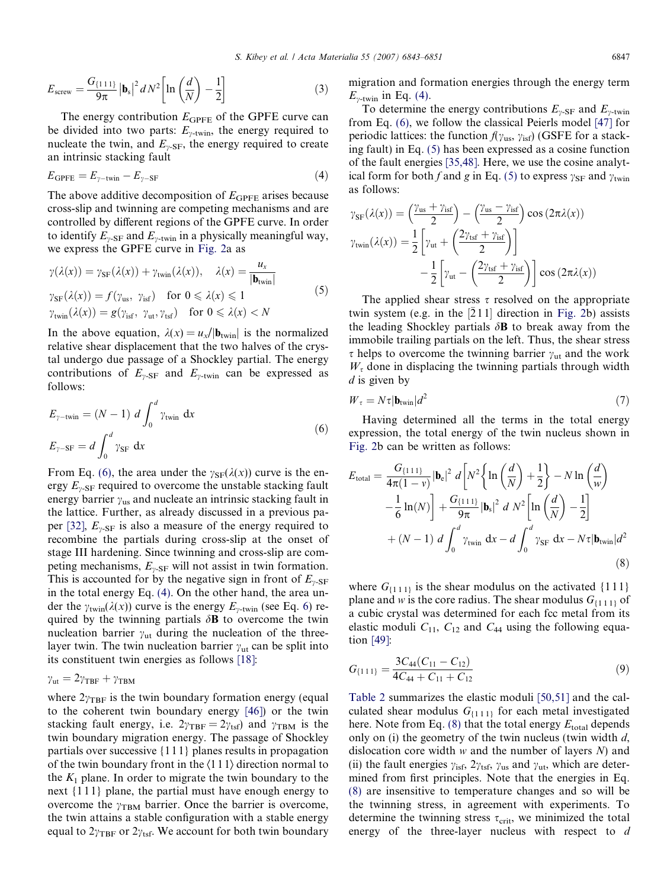$$
E_{\text{screen}} = \frac{G_{\{1\,1\,1\}}}{9\pi} \left| \mathbf{b}_s \right|^2 dN^2 \left[ \ln\left(\frac{d}{N}\right) - \frac{1}{2} \right] \tag{3}
$$

The energy contribution  $E_{\text{GPEE}}$  of the GPFE curve can be divided into two parts:  $E_{\gamma\text{-twin}}$ , the energy required to nucleate the twin, and  $E_{\gamma\text{-SF}}$ , the energy required to create an intrinsic stacking fault

$$
E_{\text{GPFE}} = E_{\gamma - \text{twin}} - E_{\gamma - \text{SF}} \tag{4}
$$

The above additive decomposition of  $E_{\text{GPE}}$  arises because cross-slip and twinning are competing mechanisms and are controlled by different regions of the GPFE curve. In order to identify  $E_{v,SE}$  and  $E_{v\text{-twin}}$  in a physically meaningful way, we express the GPFE curve in [Fig. 2](#page-1-0)a as

$$
\gamma(\lambda(x)) = \gamma_{SF}(\lambda(x)) + \gamma_{twin}(\lambda(x)), \quad \lambda(x) = \frac{u_x}{|\mathbf{b}_{twin}|}
$$
  

$$
\gamma_{SF}(\lambda(x)) = f(\gamma_{us}, \gamma_{isf}) \quad \text{for } 0 \le \lambda(x) \le 1
$$
  

$$
\gamma_{twin}(\lambda(x)) = g(\gamma_{isf}, \gamma_{ut}, \gamma_{tsf}) \quad \text{for } 0 \le \lambda(x) < N
$$
 (5)

In the above equation,  $\lambda(x) = u_x/|\mathbf{b}_{\text{twin}}|$  is the normalized relative shear displacement that the two halves of the crystal undergo due passage of a Shockley partial. The energy contributions of  $E_{\gamma\text{-SF}}$  and  $E_{\gamma\text{-twin}}$  can be expressed as follows:

$$
E_{\gamma-\text{twin}} = (N-1) \ d \int_0^d \gamma_{\text{twin}} \ dx
$$
  

$$
E_{\gamma-\text{SF}} = d \int_0^d \gamma_{\text{SF}} \ dx
$$
 (6)

From Eq. (6), the area under the  $\gamma_{SF}(\lambda(x))$  curve is the energy  $E_{\nu\text{-SF}}$  required to overcome the unstable stacking fault energy barrier  $\gamma_{us}$  and nucleate an intrinsic stacking fault in the lattice. Further, as already discussed in a previous pa-per [\[32\]](#page-8-0),  $E_{\nu\text{-SF}}$  is also a measure of the energy required to recombine the partials during cross-slip at the onset of stage III hardening. Since twinning and cross-slip are competing mechanisms,  $E_{\gamma\text{-SF}}$  will not assist in twin formation. This is accounted for by the negative sign in front of  $E_{\gamma\text{-SF}}$ in the total energy Eq. (4). On the other hand, the area under the  $\gamma_{\text{twin}}(\lambda(x))$  curve is the energy  $E_{\nu\text{-twin}}$  (see Eq. 6) required by the twinning partials  $\delta$ **B** to overcome the twin nucleation barrier  $\gamma_{\rm ut}$  during the nucleation of the threelayer twin. The twin nucleation barrier  $\gamma_{\rm ut}$  can be split into its constituent twin energies as follows [\[18\]](#page-7-0):

$$
\gamma_{\rm ut} = 2\gamma_{\rm TBF} + \gamma_{\rm TBM}
$$

where  $2\gamma_{\text{TBF}}$  is the twin boundary formation energy (equal to the coherent twin boundary energy [\[46\]](#page-8-0)) or the twin stacking fault energy, i.e.  $2\gamma_{\text{TBF}} = 2\gamma_{\text{tsf}}$  and  $\gamma_{\text{TBM}}$  is the twin boundary migration energy. The passage of Shockley partials over successive {1 1 1} planes results in propagation of the twin boundary front in the  $\langle 111 \rangle$  direction normal to the  $K_1$  plane. In order to migrate the twin boundary to the next {1 1 1} plane, the partial must have enough energy to overcome the  $\gamma_{\text{TBM}}$  barrier. Once the barrier is overcome, the twin attains a stable configuration with a stable energy equal to  $2\gamma_{\text{TBF}}$  or  $2\gamma_{\text{tsf}}$ . We account for both twin boundary migration and formation energies through the energy term  $E_{\gamma\text{-twin}}$  in Eq. (4).

To determine the energy contributions  $E_{\gamma\text{-SF}}$  and  $E_{\gamma\text{-twin}}$ from Eq. (6), we follow the classical Peierls model [\[47\]](#page-8-0) for periodic lattices: the function  $f(\gamma_{us}, \gamma_{isf})$  (GSFE for a stacking fault) in Eq. (5) has been expressed as a cosine function of the fault energies [\[35,48\].](#page-8-0) Here, we use the cosine analytical form for both f and g in Eq. (5) to express  $\gamma_{SF}$  and  $\gamma_{\text{twin}}$ as follows:

$$
\gamma_{SF}(\lambda(x)) = \left(\frac{\gamma_{us} + \gamma_{isf}}{2}\right) - \left(\frac{\gamma_{us} - \gamma_{isf}}{2}\right) \cos(2\pi\lambda(x))
$$

$$
\gamma_{twin}(\lambda(x)) = \frac{1}{2} \left[ \gamma_{ut} + \left(\frac{2\gamma_{tsf} + \gamma_{isf}}{2}\right) \right]
$$

$$
-\frac{1}{2} \left[ \gamma_{ut} - \left(\frac{2\gamma_{tsf} + \gamma_{isf}}{2}\right) \right] \cos(2\pi\lambda(x))
$$

The applied shear stress  $\tau$  resolved on the appropriate twin system (e.g. in the  $[211]$  direction in [Fig. 2b](#page-1-0)) assists the leading Shockley partials  $\delta$ **B** to break away from the immobile trailing partials on the left. Thus, the shear stress  $\tau$  helps to overcome the twinning barrier  $\gamma_{\text{ut}}$  and the work  $W<sub>\tau</sub>$  done in displacing the twinning partials through width  $d$  is given by

$$
W_{\tau} = N\tau |\mathbf{b}_{\text{twin}}|d^2 \tag{7}
$$

Having determined all the terms in the total energy expression, the total energy of the twin nucleus shown in [Fig. 2b](#page-1-0) can be written as follows:

$$
E_{\text{total}} = \frac{G_{\{111\}}}{4\pi(1-\nu)} |\mathbf{b}_e|^2 d \left[ N^2 \left\{ \ln \left( \frac{d}{N} \right) + \frac{1}{2} \right\} - N \ln \left( \frac{d}{w} \right) \right]
$$

$$
- \frac{1}{6} \ln(N) \right] + \frac{G_{\{111\}}}{9\pi} |\mathbf{b}_s|^2 d N^2 \left[ \ln \left( \frac{d}{N} \right) - \frac{1}{2} \right]
$$

$$
+ (N-1) d \int_0^d \gamma_{\text{twin}} dx - d \int_0^d \gamma_{\text{SF}} dx - N\tau |\mathbf{b}_{\text{twin}}| d^2
$$
(8)

where  $G_{\{1\,1\}}$  is the shear modulus on the activated  $\{1\,1\}$ plane and w is the core radius. The shear modulus  $G_{\{1, 1, 1\}}$  of a cubic crystal was determined for each fcc metal from its elastic moduli  $C_{11}$ ,  $C_{12}$  and  $C_{44}$  using the following equation [\[49\]](#page-8-0):

$$
G_{\{111\}} = \frac{3C_{44}(C_{11} - C_{12})}{4C_{44} + C_{11} + C_{12}}\tag{9}
$$

[Table 2](#page-5-0) summarizes the elastic moduli [\[50,51\]](#page-8-0) and the calculated shear modulus  $G_{\{1\,1\}}$  for each metal investigated here. Note from Eq.  $(8)$  that the total energy  $E_{total}$  depends only on (i) the geometry of the twin nucleus (twin width  $d$ , dislocation core width  $w$  and the number of layers  $N$ ) and (ii) the fault energies  $\gamma_{\text{isf}}$ ,  $2\gamma_{\text{tsf}}$ ,  $\gamma_{\text{us}}$  and  $\gamma_{\text{ut}}$ , which are determined from first principles. Note that the energies in Eq. (8) are insensitive to temperature changes and so will be the twinning stress, in agreement with experiments. To determine the twinning stress  $\tau_{\text{crit}}$ , we minimized the total energy of the three-layer nucleus with respect to d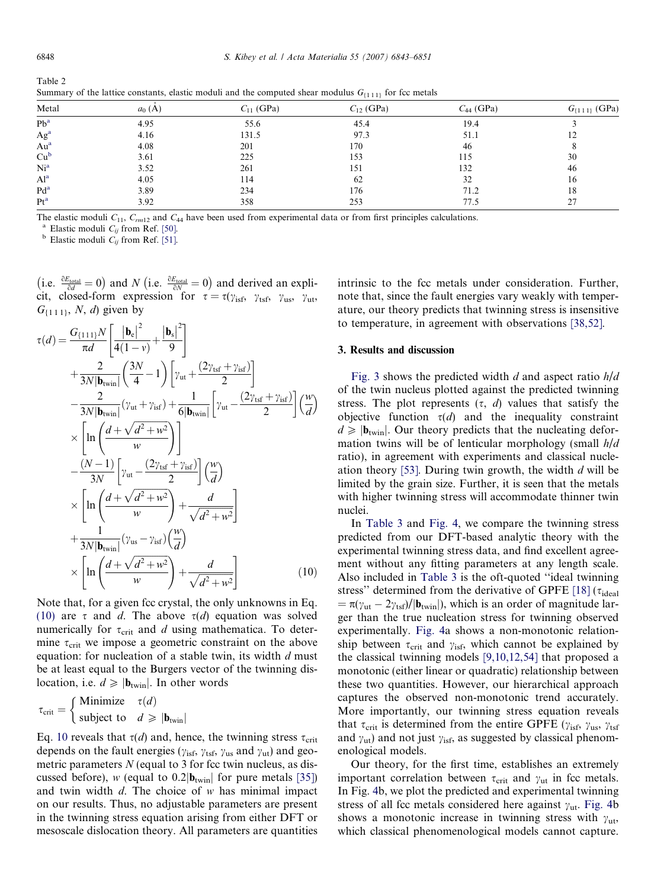<span id="page-5-0"></span>

| $\cdots$ $\cdots$ $\cdots$ |          |                |                |                |                      |
|----------------------------|----------|----------------|----------------|----------------|----------------------|
| Metal                      | $a_0(A)$ | $C_{11}$ (GPa) | $C_{12}$ (GPa) | $C_{44}$ (GPa) | $G_{\{1\,1\}}$ (GPa) |
| $Pb^a$                     | 4.95     | 55.6           | 45.4           | 19.4           |                      |
| Ag <sup>a</sup>            | 4.16     | 131.5          | 97.3           | 51.1           |                      |
| Au <sup>a</sup>            | 4.08     | 201            | 170            | 46             |                      |
| Cu <sup>b</sup>            | 3.61     | 225            | 153            | 115            | 30                   |
| Ni <sup>a</sup>            | 3.52     | 261            | 151            | 132            | 46                   |
| Al <sup>a</sup>            | 4.05     | 114            | 62             | 32             | 16                   |
| $Pd^a$                     | 3.89     | 234            | 176            | 71.2           | 18                   |
| Pt <sup>a</sup>            | 3.92     | 358            | 253            | 77.5           | 27                   |

Table 2 Summary of the lattice constants, elastic moduli and the computed shear modulus  $G_{1,1,11}$  for fcc metals

The elastic moduli  $C_{11}$ ,  $C_{rm12}$  and  $C_{44}$  have been used from experimental data or from first principles calculations.<br><sup>a</sup> Elastic moduli  $C_{ij}$  from Ref. [\[51\].](#page-8-0)<br><sup>b</sup> Elastic moduli  $C_{ij}$  from Ref. [51].

(i.e.  $\frac{\partial E_{total}}{\partial d} = 0$ ) and N (i.e.  $\frac{\partial E_{total}}{\partial N} = 0$ ) and derived an explicit, closed-form expression for  $\tau = \tau(\gamma_{\rm isf}, \gamma_{\rm tsf}, \gamma_{\rm us}, \gamma_{\rm ut},$  $G_{\{1\,1\,1\}}, N, d$  given by

$$
\tau(d) = \frac{G_{\{111\}}N}{\pi d} \left[ \frac{|\mathbf{b}_{e}|^{2}}{4(1-\nu)} + \frac{|\mathbf{b}_{s}|^{2}}{9} \right]
$$
  
+ 
$$
\frac{2}{3N|\mathbf{b}_{\text{twin}}|} \left( \frac{3N}{4} - 1 \right) \left[ \gamma_{\text{ut}} + \frac{(2\gamma_{\text{tsf}} + \gamma_{\text{isf}})}{2} \right]
$$
  
- 
$$
\frac{2}{3N|\mathbf{b}_{\text{twin}}|} (\gamma_{\text{ut}} + \gamma_{\text{isf}}) + \frac{1}{6|\mathbf{b}_{\text{twin}}|} \left[ \gamma_{\text{ut}} - \frac{(2\gamma_{\text{tsf}} + \gamma_{\text{isf}})}{2} \right] \left( \frac{w}{d} \right)
$$
  
 
$$
\times \left[ \ln \left( \frac{d + \sqrt{d^2 + w^2}}{w} \right) \right]
$$
  
- 
$$
\frac{(N-1)}{3N} \left[ \gamma_{\text{ut}} - \frac{(2\gamma_{\text{tsf}} + \gamma_{\text{isf}})}{2} \right] \left( \frac{w}{d} \right)
$$
  
 
$$
\times \left[ \ln \left( \frac{d + \sqrt{d^2 + w^2}}{w} \right) + \frac{d}{\sqrt{d^2 + w^2}} \right]
$$
  
+ 
$$
\frac{1}{3N|\mathbf{b}_{\text{twin}}|} (\gamma_{\text{us}} - \gamma_{\text{isf}}) \left( \frac{w}{d} \right)
$$
  

$$
\times \left[ \ln \left( \frac{d + \sqrt{d^2 + w^2}}{w} \right) + \frac{d}{\sqrt{d^2 + w^2}} \right] \qquad (10)
$$

Note that, for a given fcc crystal, the only unknowns in Eq. (10) are  $\tau$  and d. The above  $\tau(d)$  equation was solved numerically for  $\tau_{\text{crit}}$  and d using mathematica. To determine  $\tau_{\text{crit}}$  we impose a geometric constraint on the above equation: for nucleation of a stable twin, its width d must be at least equal to the Burgers vector of the twinning dislocation, i.e.  $d \geqslant |\mathbf{b}_{\text{twin}}|$ . In other words

$$
\tau_{\text{crit}} = \begin{cases} \text{Minimize} & \tau(d) \\ \text{subject to} & d \geqslant |\mathbf{b}_{\text{twin}}| \end{cases}
$$

Eq. 10 reveals that  $\tau(d)$  and, hence, the twinning stress  $\tau_{\text{crit}}$ depends on the fault energies ( $\gamma_{\rm isf}$ ,  $\gamma_{\rm tsf}$ ,  $\gamma_{\rm us}$  and  $\gamma_{\rm ut}$ ) and geometric parameters  $N$  (equal to 3 for fcc twin nucleus, as discussed before), w (equal to  $0.2|\mathbf{b}_{\text{twin}}|$  for pure metals [\[35\]](#page-8-0)) and twin width  $d$ . The choice of  $w$  has minimal impact on our results. Thus, no adjustable parameters are present in the twinning stress equation arising from either DFT or mesoscale dislocation theory. All parameters are quantities intrinsic to the fcc metals under consideration. Further, note that, since the fault energies vary weakly with temperature, our theory predicts that twinning stress is insensitive to temperature, in agreement with observations [\[38,52\].](#page-8-0)

# 3. Results and discussion

[Fig. 3](#page-6-0) shows the predicted width  $d$  and aspect ratio  $h/d$ of the twin nucleus plotted against the predicted twinning stress. The plot represents  $(\tau, d)$  values that satisfy the objective function  $\tau(d)$  and the inequality constraint  $d \geqslant |\mathbf{b}_{\text{twin}}|$ . Our theory predicts that the nucleating deformation twins will be of lenticular morphology (small h/d ratio), in agreement with experiments and classical nucle-ation theory [\[53\]](#page-8-0). During twin growth, the width  $d$  will be limited by the grain size. Further, it is seen that the metals with higher twinning stress will accommodate thinner twin nuclei.

In [Table 3](#page-6-0) and [Fig. 4](#page-6-0), we compare the twinning stress predicted from our DFT-based analytic theory with the experimental twinning stress data, and find excellent agreement without any fitting parameters at any length scale. Also included in [Table 3](#page-6-0) is the oft-quoted ''ideal twinning stress'' determined from the derivative of GPFE [\[18\]](#page-7-0) ( $\tau_{\text{ideal}}$  $= \pi(\gamma_{\text{ut}} - 2\gamma_{\text{tsf}})/|\mathbf{b}_{\text{twin}}|$ , which is an order of magnitude larger than the true nucleation stress for twinning observed experimentally. [Fig. 4a](#page-6-0) shows a non-monotonic relationship between  $\tau_{\text{crit}}$  and  $\gamma_{\text{isf}}$ , which cannot be explained by the classical twinning models [\[9,10,12,54\]](#page-7-0) that proposed a monotonic (either linear or quadratic) relationship between these two quantities. However, our hierarchical approach captures the observed non-monotonic trend accurately. More importantly, our twinning stress equation reveals that  $\tau_{\text{crit}}$  is determined from the entire GPFE ( $\gamma_{\text{isf}}$ ,  $\gamma_{\text{us}}$ ,  $\gamma_{\text{tsf}}$ and  $\gamma_{ut}$ ) and not just  $\gamma_{isf}$ , as suggested by classical phenomenological models.

Our theory, for the first time, establishes an extremely important correlation between  $\tau_{\text{crit}}$  and  $\gamma_{\text{ut}}$  in fcc metals. In Fig. [4b](#page-6-0), we plot the predicted and experimental twinning stress of all fcc metals considered here against  $\gamma_{ut}$ . [Fig. 4](#page-6-0)b shows a monotonic increase in twinning stress with  $\gamma_{\text{ut}}$ , which classical phenomenological models cannot capture.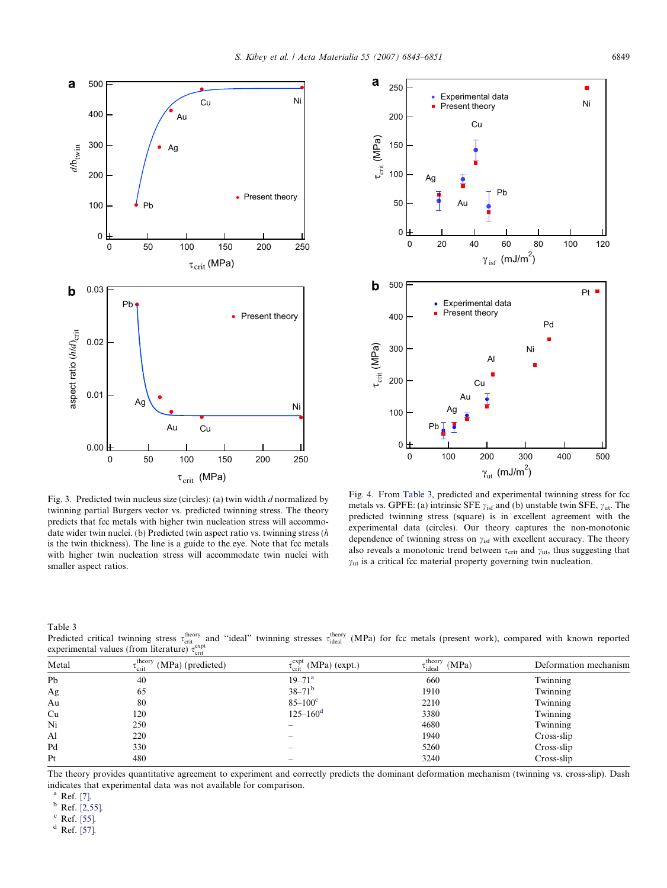<span id="page-6-0"></span>



Fig. 3. Predicted twin nucleus size (circles): (a) twin width d normalized by twinning partial Burgers vector vs. predicted twinning stress. The theory predicts that fcc metals with higher twin nucleation stress will accommodate wider twin nuclei. (b) Predicted twin aspect ratio vs. twinning stress (h is the twin thickness). The line is a guide to the eye. Note that fcc metals with higher twin nucleation stress will accommodate twin nuclei with smaller aspect ratios.

Fig. 4. From Table 3, predicted and experimental twinning stress for fcc metals vs. GPFE: (a) intrinsic SFE  $\gamma_{\text{isf}}$  and (b) unstable twin SFE,  $\gamma_{\text{ut}}$ . The predicted twinning stress (square) is in excellent agreement with the experimental data (circles). Our theory captures the non-monotonic dependence of twinning stress on  $\gamma_{\rm isf}$  with excellent accuracy. The theory also reveals a monotonic trend between  $\tau_{\text{crit}}$  and  $\gamma_{\text{ut}}$ , thus suggesting that  $y<sub>ut</sub>$  is a critical fcc material property governing twin nucleation.

Table 3

Predicted critical twinning stress  $\tau_{\text{crit}}^{\text{theory}}$  and "ideal" twinning stresses  $\tau_{\text{ideal}}^{\text{theory}}$  (MPa) for fcc metals (present work), compared with known reported experimental values (from literature)  $\tau_{\text{crit}}^{\text{expt}}$ 

| Metal | $\tau_{\text{crit}}^{\text{theory}}$ (MPa) (predicted)<br><sup>L</sup> crit | $\tau_{\text{crit}}^{\text{expt}}$ (MPa) (expt.) | $\epsilon_{\text{ideal}}^{\text{theory}}$ (MPa)<br>$\iota$ <sub>ideal</sub> | Deformation mechanism |
|-------|-----------------------------------------------------------------------------|--------------------------------------------------|-----------------------------------------------------------------------------|-----------------------|
| Pb    | 40                                                                          | $19 - 71^a$                                      | 660                                                                         | Twinning              |
| Ag    | 65                                                                          | $38 - 71^b$                                      | 1910                                                                        | Twinning              |
| Au    | 80                                                                          | $85 - 100^{\circ}$                               | 2210                                                                        | Twinning              |
| Cu    | 120                                                                         | $125 - 160^{\rm d}$                              | 3380                                                                        | Twinning              |
| Ni    | 250                                                                         |                                                  | 4680                                                                        | Twinning              |
| Al    | 220                                                                         |                                                  | 1940                                                                        | Cross-slip            |
| Pd    | 330                                                                         | $\overline{\phantom{a}}$                         | 5260                                                                        | Cross-slip            |
| Pt    | 480                                                                         |                                                  | 3240                                                                        | Cross-slip            |

The theory provides quantitative agreement to experiment and correctly predicts the dominant deformation mechanism (twinning vs. cross-slip). Dash indicates that experimental data was not available for comparison.

 $^{a}$  Ref. [\[7\].](#page-7-0)<br> $^{b}$  Ref. [\[2,55\].](#page-7-0)

<sup>c</sup> Ref. [\[55\].](#page-8-0)

 $d$  Ref. [\[57\].](#page-8-0)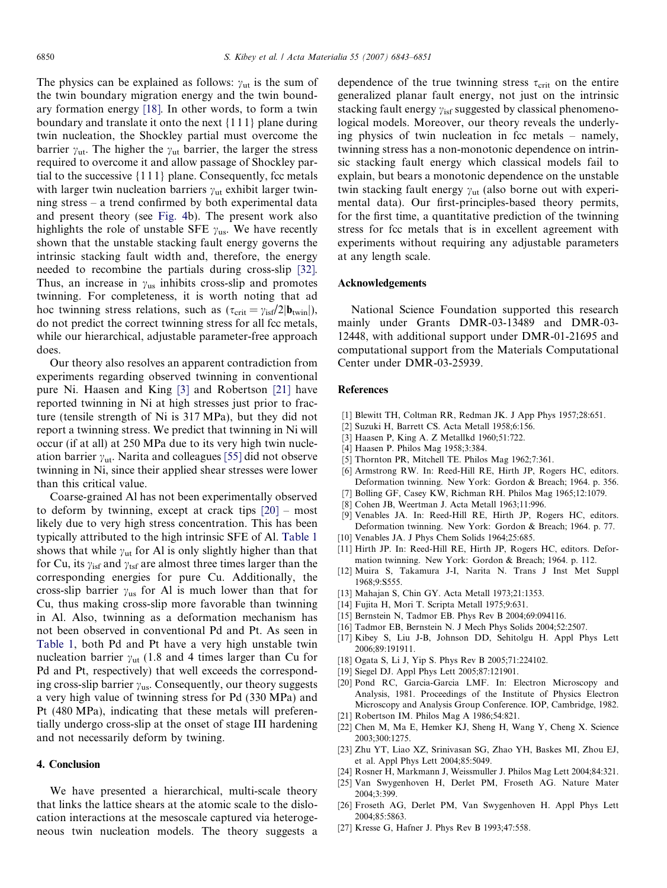<span id="page-7-0"></span>The physics can be explained as follows:  $\gamma_{\text{ut}}$  is the sum of the twin boundary migration energy and the twin boundary formation energy [18]. In other words, to form a twin boundary and translate it onto the next {1 1 1} plane during twin nucleation, the Shockley partial must overcome the barrier  $\gamma_{\text{ut}}$ . The higher the  $\gamma_{\text{ut}}$  barrier, the larger the stress required to overcome it and allow passage of Shockley partial to the successive  $\{1\,1\,1\}$  plane. Consequently, fcc metals with larger twin nucleation barriers  $\gamma_{\text{nt}}$  exhibit larger twinning stress – a trend confirmed by both experimental data and present theory (see [Fig. 4b](#page-6-0)). The present work also highlights the role of unstable SFE  $y_{\text{us}}$ . We have recently shown that the unstable stacking fault energy governs the intrinsic stacking fault width and, therefore, the energy needed to recombine the partials during cross-slip [\[32\]](#page-8-0). Thus, an increase in  $\gamma_{\text{us}}$  inhibits cross-slip and promotes twinning. For completeness, it is worth noting that ad hoc twinning stress relations, such as  $(\tau_{\rm crit} = \gamma_{\rm isf}/2|\mathbf{b}_{\rm twin}|),$ do not predict the correct twinning stress for all fcc metals, while our hierarchical, adjustable parameter-free approach does.

Our theory also resolves an apparent contradiction from experiments regarding observed twinning in conventional pure Ni. Haasen and King [3] and Robertson [21] have reported twinning in Ni at high stresses just prior to fracture (tensile strength of Ni is 317 MPa), but they did not report a twinning stress. We predict that twinning in Ni will occur (if at all) at 250 MPa due to its very high twin nucleation barrier  $\gamma_{\text{ut}}$ . Narita and colleagues [\[55\]](#page-8-0) did not observe twinning in Ni, since their applied shear stresses were lower than this critical value.

Coarse-grained Al has not been experimentally observed to deform by twinning, except at crack tips [20] – most likely due to very high stress concentration. This has been typically attributed to the high intrinsic SFE of Al. [Table 1](#page-2-0) shows that while  $\gamma_{ut}$  for Al is only slightly higher than that for Cu, its  $\gamma_{\text{isf}}$  and  $\gamma_{\text{tsf}}$  are almost three times larger than the corresponding energies for pure Cu. Additionally, the cross-slip barrier  $\gamma_{\text{us}}$  for Al is much lower than that for Cu, thus making cross-slip more favorable than twinning in Al. Also, twinning as a deformation mechanism has not been observed in conventional Pd and Pt. As seen in [Table 1](#page-2-0), both Pd and Pt have a very high unstable twin nucleation barrier  $\gamma_{ut}$  (1.8 and 4 times larger than Cu for Pd and Pt, respectively) that well exceeds the corresponding cross-slip barrier  $\gamma_{us}$ . Consequently, our theory suggests a very high value of twinning stress for Pd (330 MPa) and Pt (480 MPa), indicating that these metals will preferentially undergo cross-slip at the onset of stage III hardening and not necessarily deform by twining.

### 4. Conclusion

We have presented a hierarchical, multi-scale theory that links the lattice shears at the atomic scale to the dislocation interactions at the mesoscale captured via heterogeneous twin nucleation models. The theory suggests a dependence of the true twinning stress  $\tau_{\text{crit}}$  on the entire generalized planar fault energy, not just on the intrinsic stacking fault energy  $\gamma_{\rm isf}$  suggested by classical phenomenological models. Moreover, our theory reveals the underlying physics of twin nucleation in fcc metals – namely, twinning stress has a non-monotonic dependence on intrinsic stacking fault energy which classical models fail to explain, but bears a monotonic dependence on the unstable twin stacking fault energy  $\gamma_{\text{ut}}$  (also borne out with experimental data). Our first-principles-based theory permits, for the first time, a quantitative prediction of the twinning stress for fcc metals that is in excellent agreement with experiments without requiring any adjustable parameters at any length scale.

#### Acknowledgements

National Science Foundation supported this research mainly under Grants DMR-03-13489 and DMR-03- 12448, with additional support under DMR-01-21695 and computational support from the Materials Computational Center under DMR-03-25939.

#### References

- [1] Blewitt TH, Coltman RR, Redman JK. J App Phys 1957;28:651.
- [2] Suzuki H, Barrett CS. Acta Metall 1958;6:156.
- [3] Haasen P, King A. Z Metallkd 1960;51:722.
- [4] Haasen P. Philos Mag 1958;3:384.
- [5] Thornton PR, Mitchell TE. Philos Mag 1962;7:361.
- [6] Armstrong RW. In: Reed-Hill RE, Hirth JP, Rogers HC, editors. Deformation twinning. New York: Gordon & Breach; 1964. p. 356.
- [7] Bolling GF, Casey KW, Richman RH. Philos Mag 1965;12:1079.
- [8] Cohen JB, Weertman J. Acta Metall 1963;11:996.
- [9] Venables JA. In: Reed-Hill RE, Hirth JP, Rogers HC, editors. Deformation twinning. New York: Gordon & Breach; 1964. p. 77.
- [10] Venables JA. J Phys Chem Solids 1964;25:685.
- [11] Hirth JP. In: Reed-Hill RE, Hirth JP, Rogers HC, editors. Deformation twinning. New York: Gordon & Breach; 1964. p. 112.
- [12] Muira S, Takamura J-I, Narita N. Trans J Inst Met Suppl 1968;9:S555.
- [13] Mahajan S, Chin GY. Acta Metall 1973;21:1353.
- [14] Fujita H, Mori T. Scripta Metall 1975;9:631.
- [15] Bernstein N, Tadmor EB. Phys Rev B 2004;69:094116.
- [16] Tadmor EB, Bernstein N. J Mech Phys Solids 2004;52:2507.
- [17] Kibey S, Liu J-B, Johnson DD, Sehitolgu H. Appl Phys Lett 2006;89:191911.
- [18] Ogata S, Li J, Yip S. Phys Rev B 2005;71:224102.
- [19] Siegel DJ. Appl Phys Lett 2005;87:121901.
- [20] Pond RC, Garcia-Garcia LMF. In: Electron Microscopy and Analysis, 1981. Proceedings of the Institute of Physics Electron Microscopy and Analysis Group Conference. IOP, Cambridge, 1982.
- [21] Robertson IM. Philos Mag A 1986;54:821.
- [22] Chen M, Ma E, Hemker KJ, Sheng H, Wang Y, Cheng X. Science 2003;300:1275.
- [23] Zhu YT, Liao XZ, Srinivasan SG, Zhao YH, Baskes MI, Zhou EJ, et al. Appl Phys Lett 2004;85:5049.
- [24] Rosner H, Markmann J, Weissmuller J. Philos Mag Lett 2004;84:321.
- [25] Van Swygenhoven H, Derlet PM, Froseth AG. Nature Mater 2004;3:399.
- [26] Froseth AG, Derlet PM, Van Swygenhoven H. Appl Phys Lett 2004;85:5863.
- [27] Kresse G, Hafner J. Phys Rev B 1993;47:558.